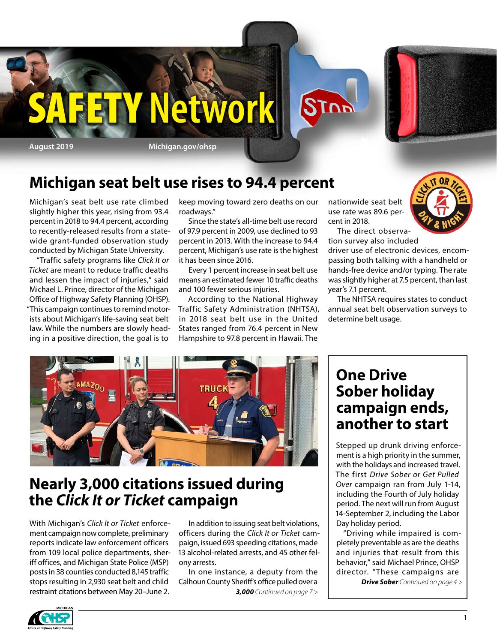

### **Michigan seat belt use rises to 94.4 percent**

Michigan's seat belt use rate climbed slightly higher this year, rising from 93.4 percent in 2018 to 94.4 percent, according to recently-released results from a statewide grant-funded observation study conducted by Michigan State University.

"Traffic safety programs like *Click It or Ticket* are meant to reduce traffic deaths and lessen the impact of injuries," said Michael L. Prince, director of the Michigan Office of Highway Safety Planning (OHSP). "This campaign continues to remind motorists about Michigan's life-saving seat belt law. While the numbers are slowly heading in a positive direction, the goal is to

keep moving toward zero deaths on our roadways."

Since the state's all-time belt use record of 97.9 percent in 2009, use declined to 93 percent in 2013. With the increase to 94.4 percent, Michigan's use rate is the highest it has been since 2016.

Every 1 percent increase in seat belt use means an estimated fewer 10 traffic deaths and 100 fewer serious injuries.

According to the National Highway Traffic Safety Administration (NHTSA), in 2018 seat belt use in the United States ranged from 76.4 percent in New Hampshire to 97.8 percent in Hawaii. The

nationwide seat belt use rate was 89.6 percent in 2018.



The direct observation survey also included

driver use of electronic devices, encompassing both talking with a handheld or hands-free device and/or typing. The rate was slightly higher at 7.5 percent, than last year's 7.1 percent.

The NHTSA requires states to conduct annual seat belt observation surveys to determine belt usage.



### **Nearly 3,000 citations issued during the** *Click It or Ticket* **campaign**

With Michigan's *Click It or Ticket* enforcement campaign now complete, preliminary reports indicate law enforcement officers from 109 local police departments, sheriff offices, and Michigan State Police (MSP) posts in 38 counties conducted 8,145 traffic stops resulting in 2,930 seat belt and child restraint citations between May 20–June 2.

In addition to issuing seat belt violations, officers during the *Click It or Ticket* campaign, issued 693 speeding citations, made 13 alcohol-related arrests, and 45 other felony arrests.

In one instance, a deputy from the Calhoun County Sheriff's office pulled over a *3,000 Continued on page 7 >*

### **One Drive Sober holiday campaign ends, another to start**

Stepped up drunk driving enforcement is a high priority in the summer, with the holidays and increased travel. The first *Drive Sober or Get Pulled Over* campaign ran from July 1-14, including the Fourth of July holiday period. The next will run from August 14-September 2, including the Labor Day holiday period.

"Driving while impaired is completely preventable as are the deaths and injuries that result from this behavior," said Michael Prince, OHSP director. "These campaigns are

*Drive Sober Continued on page 4 >*

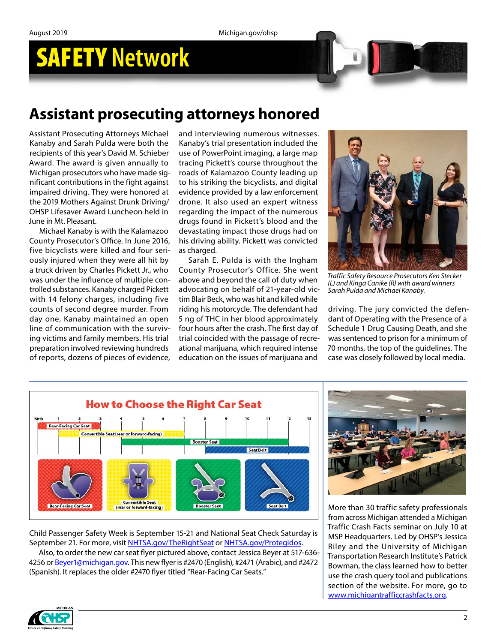## **Assistant prosecuting attorneys honored**

Assistant Prosecuting Attorneys Michael Kanaby and Sarah Pulda were both the recipients of this year's David M. Schieber Award. The award is given annually to Michigan prosecutors who have made significant contributions in the fight against impaired driving. They were honored at the 2019 Mothers Against Drunk Driving/ OHSP Lifesaver Award Luncheon held in June in Mt. Pleasant.

Michael Kanaby is with the Kalamazoo County Prosecutor's Office. In June 2016, five bicyclists were killed and four seriously injured when they were all hit by a truck driven by Charles Pickett Jr., who was under the influence of multiple controlled substances. Kanaby charged Pickett with 14 felony charges, including five counts of second degree murder. From day one, Kanaby maintained an open line of communication with the surviving victims and family members. His trial preparation involved reviewing hundreds of reports, dozens of pieces of evidence,

and interviewing numerous witnesses. Kanaby's trial presentation included the use of PowerPoint imaging, a large map tracing Pickett's course throughout the roads of Kalamazoo County leading up to his striking the bicyclists, and digital evidence provided by a law enforcement drone. It also used an expert witness regarding the impact of the numerous drugs found in Pickett's blood and the devastating impact those drugs had on his driving ability. Pickett was convicted as charged.

Sarah E. Pulda is with the Ingham County Prosecutor's Office. She went above and beyond the call of duty when advocating on behalf of 21-year-old victim Blair Beck, who was hit and killed while riding his motorcycle. The defendant had 5 ng of THC in her blood approximately four hours after the crash. The first day of trial coincided with the passage of recreational marijuana, which required intense education on the issues of marijuana and



*Traffic Safety Resource Prosecutors Ken Stecker (L) and Kinga Canike (R) with award winners Sarah Pulda and Michael Kanaby.*

driving. The jury convicted the defendant of Operating with the Presence of a Schedule 1 Drug Causing Death, and she was sentenced to prison for a minimum of 70 months, the top of the guidelines. The case was closely followed by local media.



Child Passenger Safety Week is September 15-21 and National Seat Check Saturday is September 21. For more, visit [NHTSA.gov/TheRightSeat](https://www.nhtsa.gov/campaign/right-seat?_ga=2.264332876.214325462.1563386857-2086899219.1519157241) or [NHTSA.gov/Protegidos](https://www.nhtsa.gov/es/campaign/protegidos).

Also, to order the new car seat flyer pictured above, contact Jessica Beyer at 517-636- 4256 or [Beyer1@michigan.gov](mailto:Beyer1@michigan.gov). This new flyer is #2470 (English), #2471 (Arabic), and #2472 (Spanish). It replaces the older #2470 flyer titled "Rear-Facing Car Seats."



More than 30 traffic safety professionals from across Michigan attended a Michigan Traffic Crash Facts seminar on July 10 at MSP Headquarters. Led by OHSP's Jessica Riley and the University of Michigan Transportation Research Institute's Patrick Bowman, the class learned how to better use the crash query tool and publications section of the website. For more, go to [www.michigantrafficcrashfacts.org.](http://www.michigantrafficcrashfacts.org/)

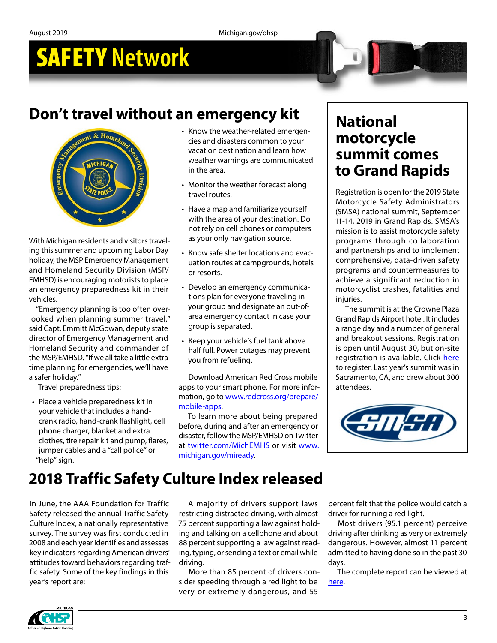# **Don't travel without an emergency kit**



With Michigan residents and visitors traveling this summer and upcoming Labor Day holiday, the MSP Emergency Management and Homeland Security Division (MSP/ EMHSD) is encouraging motorists to place an emergency preparedness kit in their vehicles.

"Emergency planning is too often overlooked when planning summer travel," said Capt. Emmitt McGowan, deputy state director of Emergency Management and Homeland Security and commander of the MSP/EMHSD. "If we all take a little extra time planning for emergencies, we'll have a safer holiday."

Travel preparedness tips:

• Place a vehicle preparedness kit in your vehicle that includes a handcrank radio, hand-crank flashlight, cell phone charger, blanket and extra clothes, tire repair kit and pump, flares, jumper cables and a "call police" or "help" sign.

- Know the weather-related emergencies and disasters common to your vacation destination and learn how weather warnings are communicated in the area.
- Monitor the weather forecast along travel routes.
- Have a map and familiarize yourself with the area of your destination. Do not rely on cell phones or computers as your only navigation source.
- Know safe shelter locations and evacuation routes at campgrounds, hotels or resorts.
- Develop an emergency communications plan for everyone traveling in your group and designate an out-ofarea emergency contact in case your group is separated.
- Keep your vehicle's fuel tank above half full. Power outages may prevent you from refueling.

Download American Red Cross mobile apps to your smart phone. For more information, go to [www.redcross.org/prepare/](http://www.redcross.org/prepare/mobile-apps) [mobile-apps.](http://www.redcross.org/prepare/mobile-apps)

To learn more about being prepared before, during and after an emergency or disaster, follow the MSP/EMHSD on Twitter at twitter.com/[MichEMHS](http://www.twitter.com/MichEMHS) or visit [www.](http://www.michigan.gov/miready) [michigan.gov/miready.](http://www.michigan.gov/miready)

### **National motorcycle summit comes to Grand Rapids**

Registration is open for the 2019 State Motorcycle Safety Administrators (SMSA) national summit, September 11-14, 2019 in Grand Rapids. SMSA's mission is to assist motorcycle safety programs through collaboration and partnerships and to implement comprehensive, data-driven safety programs and countermeasures to achieve a significant reduction in motorcyclist crashes, fatalities and injuries.

The summit is at the Crowne Plaza Grand Rapids Airport hotel. It includes a range day and a number of general and breakout sessions. Registration is open until August 30, but on-site registration is available. Click [here](http://smsa.org/2019%20Summit/Summit%20Registration%20Form%202019.pdf) to register. Last year's summit was in Sacramento, CA, and drew about 300 attendees.



# **2018 Traffic Safety Culture Index released**

In June, the AAA Foundation for Traffic Safety released the annual Traffic Safety Culture Index, a nationally representative survey. The survey was first conducted in 2008 and each year identifies and assesses key indicators regarding American drivers' attitudes toward behaviors regarding traffic safety. Some of the key findings in this year's report are:

A majority of drivers support laws restricting distracted driving, with almost 75 percent supporting a law against holding and talking on a cellphone and about 88 percent supporting a law against reading, typing, or sending a text or email while driving.

More than 85 percent of drivers consider speeding through a red light to be very or extremely dangerous, and 55

percent felt that the police would catch a driver for running a red light.

Most drivers (95.1 percent) perceive driving after drinking as very or extremely dangerous. However, almost 11 percent admitted to having done so in the past 30 days.

The complete report can be viewed at [here](https://aaafoundation.org/2018-traffic-safety-culture-index/).

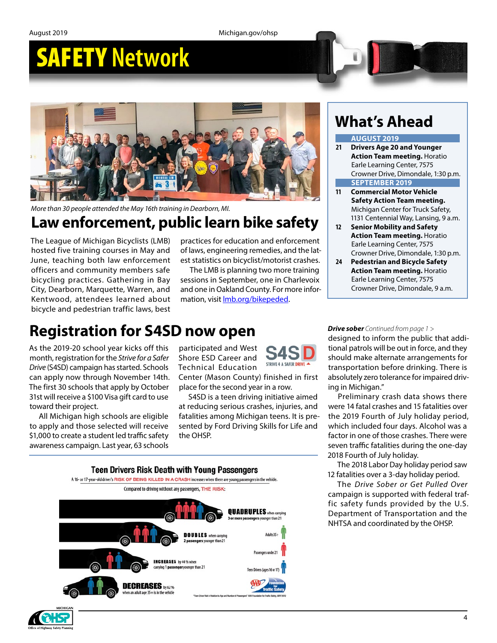August 2019 Michigan.gov/ohsp

# SAFETY **Network**



*More than 30 people attended the May 16th training in Dearborn, MI.*

# **Law enforcement, public learn bike safety**

The League of Michigan Bicyclists (LMB) hosted five training courses in May and June, teaching both law enforcement officers and community members safe bicycling practices. Gathering in Bay City, Dearborn, Marquette, Warren, and Kentwood, attendees learned about bicycle and pedestrian traffic laws, best practices for education and enforcement of laws, engineering remedies, and the latest statistics on bicyclist/motorist crashes.

The LMB is planning two more training sessions in September, one in Charlevoix and one in Oakland County. For more information, visit *Imb.org/bikepeded*.

## **What's Ahead**

#### **AUGUST 2019**

- **21 Drivers Age 20 and Younger Action Team meeting.** Horatio Earle Learning Center, 7575 Crowner Drive, Dimondale, 1:30 p.m. **SEPTEMBER 2019**
- **11 Commercial Motor Vehicle Safety Action Team meeting.** Michigan Center for Truck Safety, 1131 Centennial Way, Lansing, 9 a.m.
- **12 Senior Mobility and Safety Action Team meeting.** Horatio Earle Learning Center, 7575 Crowner Drive, Dimondale, 1:30 p.m.
- **24 Pedestrian and Bicycle Safety Action Team meeting.** Horatio Earle Learning Center, 7575 Crowner Drive, Dimondale, 9 a.m.

# **Registration for S4SD now open**

As the 2019-20 school year kicks off this month, registration for the *Strive for a Safer Drive* (S4SD) campaign has started. Schools can apply now through November 14th. The first 30 schools that apply by October 31st will receive a \$100 Visa gift card to use toward their project.

All Michigan high schools are eligible to apply and those selected will receive \$1,000 to create a student led traffic safety awareness campaign. Last year, 63 schools

participated and West Shore ESD Career and Technical Education



Center (Mason County) finished in first place for the second year in a row.

S4SD is a teen driving initiative aimed at reducing serious crashes, injuries, and fatalities among Michigan teens. It is presented by Ford Driving Skills for Life and the OHSP.



*Drive sober Continued from page 1 >*

designed to inform the public that additional patrols will be out in force, and they should make alternate arrangements for transportation before drinking. There is absolutely zero tolerance for impaired driving in Michigan."

Preliminary crash data shows there were 14 fatal crashes and 15 fatalities over the 2019 Fourth of July holiday period, which included four days. Alcohol was a factor in one of those crashes. There were seven traffic fatalities during the one-day 2018 Fourth of July holiday.

The 2018 Labor Day holiday period saw 12 fatalities over a 3-day holiday period.

The *Drive Sober or Get Pulled Over*  campaign is supported with federal traffic safety funds provided by the U.S. Department of Transportation and the NHTSA and coordinated by the OHSP.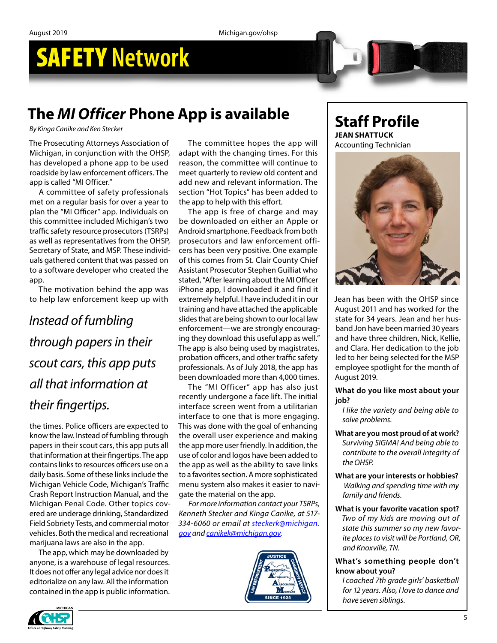# **The** *MI Officer* **Phone App is available**

*By Kinga Canike and Ken Stecker*

The Prosecuting Attorneys Association of Michigan, in conjunction with the OHSP, has developed a phone app to be used roadside by law enforcement officers. The app is called "MI Officer."

A committee of safety professionals met on a regular basis for over a year to plan the "MI Officer" app. Individuals on this committee included Michigan's two traffic safety resource prosecutors (TSRPs) as well as representatives from the OHSP, Secretary of State, and MSP. These individuals gathered content that was passed on to a software developer who created the app.

The motivation behind the app was to help law enforcement keep up with

# *Instead of fumbling through papers in their scout cars, this app puts all that information at their fingertips.*

the times. Police officers are expected to know the law. Instead of fumbling through papers in their scout cars, this app puts all that information at their fingertips. The app contains links to resources officers use on a daily basis. Some of these links include the Michigan Vehicle Code, Michigan's Traffic Crash Report Instruction Manual, and the Michigan Penal Code. Other topics covered are underage drinking, Standardized Field Sobriety Tests, and commercial motor vehicles. Both the medical and recreational marijuana laws are also in the app.

The app, which may be downloaded by anyone, is a warehouse of legal resources. It does not offer any legal advice nor does it editorialize on any law. All the information contained in the app is public information.

The committee hopes the app will adapt with the changing times. For this reason, the committee will continue to meet quarterly to review old content and add new and relevant information. The section "Hot Topics" has been added to the app to help with this effort.

The app is free of charge and may be downloaded on either an Apple or Android smartphone. Feedback from both prosecutors and law enforcement officers has been very positive. One example of this comes from St. Clair County Chief Assistant Prosecutor Stephen Guilliat who stated, "After learning about the MI Officer iPhone app, I downloaded it and find it extremely helpful. I have included it in our training and have attached the applicable slides that are being shown to our local law enforcement—we are strongly encouraging they download this useful app as well." The app is also being used by magistrates, probation officers, and other traffic safety professionals. As of July 2018, the app has been downloaded more than 4,000 times.

The "MI Officer" app has also just recently undergone a face lift. The initial interface screen went from a utilitarian interface to one that is more engaging. This was done with the goal of enhancing the overall user experience and making the app more user friendly. In addition, the use of color and logos have been added to the app as well as the ability to save links to a favorites section. A more sophisticated menu system also makes it easier to navigate the material on the app.

*For more information contact your TSRPs, Kenneth Stecker and Kinga Canike, at 517- 334-6060 or email at [steckerk@michigan.](mailto:steckerk@michigan.gov) [gov](mailto:steckerk@michigan.gov) and [canikek@michigan.gov.](mailto:canikek@michigan.gov)* 



**Staff Profile JEAN SHATTUCK** Accounting Technician



Jean has been with the OHSP since August 2011 and has worked for the state for 34 years. Jean and her husband Jon have been married 30 years and have three children, Nick, Kellie, and Clara. Her dedication to the job led to her being selected for the MSP employee spotlight for the month of August 2019.

**What do you like most about your job?** 

*I like the variety and being able to solve problems.*

**What are you most proud of at work?**  *Surviving SIGMA! And being able to contribute to the overall integrity of the OHSP.*

**What are your interests or hobbies?**  *Walking and spending time with my family and friends.*

**What is your favorite vacation spot?**  *Two of my kids are moving out of state this summer so my new favorite places to visit will be Portland, OR, and Knoxville, TN.*

#### **What's something people don't know about you?**

*I coached 7th grade girls' basketball for 12 years. Also, I love to dance and have seven siblings.*

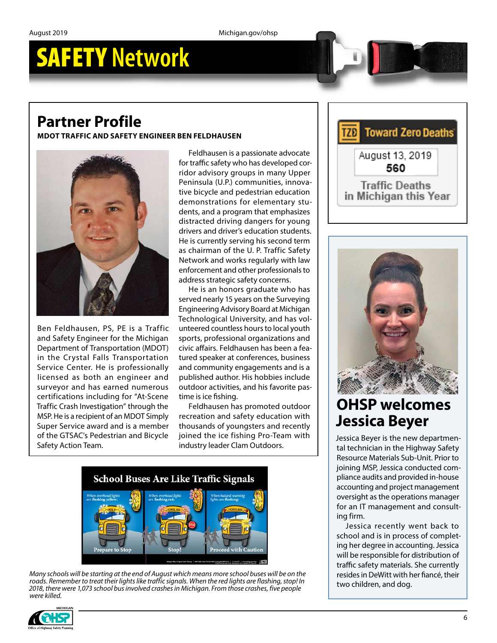# **Partner Profile**

**MDOT TRAFFIC AND SAFETY ENGINEER BEN FELDHAUSEN**



Ben Feldhausen, PS, PE is a Traffic and Safety Engineer for the Michigan Department of Transportation (MDOT) in the Crystal Falls Transportation Service Center. He is professionally licensed as both an engineer and surveyor and has earned numerous certifications including for "At-Scene Traffic Crash Investigation" through the MSP. He is a recipient of an MDOT Simply Super Service award and is a member of the GTSAC's Pedestrian and Bicycle Safety Action Team.

Feldhausen is a passionate advocate for traffic safety who has developed corridor advisory groups in many Upper Peninsula (U.P.) communities, innovative bicycle and pedestrian education demonstrations for elementary students, and a program that emphasizes distracted driving dangers for young drivers and driver's education students. He is currently serving his second term as chairman of the U. P. Traffic Safety Network and works regularly with law enforcement and other professionals to address strategic safety concerns.

He is an honors graduate who has served nearly 15 years on the Surveying Engineering Advisory Board at Michigan Technological University, and has volunteered countless hours to local youth sports, professional organizations and civic affairs. Feldhausen has been a featured speaker at conferences, business and community engagements and is a published author. His hobbies include outdoor activities, and his favorite pastime is ice fishing.

Feldhausen has promoted outdoor recreation and safety education with thousands of youngsters and recently joined the ice fishing Pro-Team with industry leader Clam Outdoors.



*Many schools will be starting at the end of August which means more school buses will be on the roads. Remember to treat their lights like traffic signals. When the red lights are flashing, stop! In 2018, there were 1,073 school bus involved crashes in Michigan. From those crashes, five people were killed.*







# **OHSP welcomes Jessica Beyer**

Jessica Beyer is the new departmental technician in the Highway Safety Resource Materials Sub-Unit. Prior to joining MSP, Jessica conducted compliance audits and provided in-house accounting and project management oversight as the operations manager for an IT management and consulting firm.

Jessica recently went back to school and is in process of completing her degree in accounting. Jessica will be responsible for distribution of traffic safety materials. She currently resides in DeWitt with her fiancé, their two children, and dog.